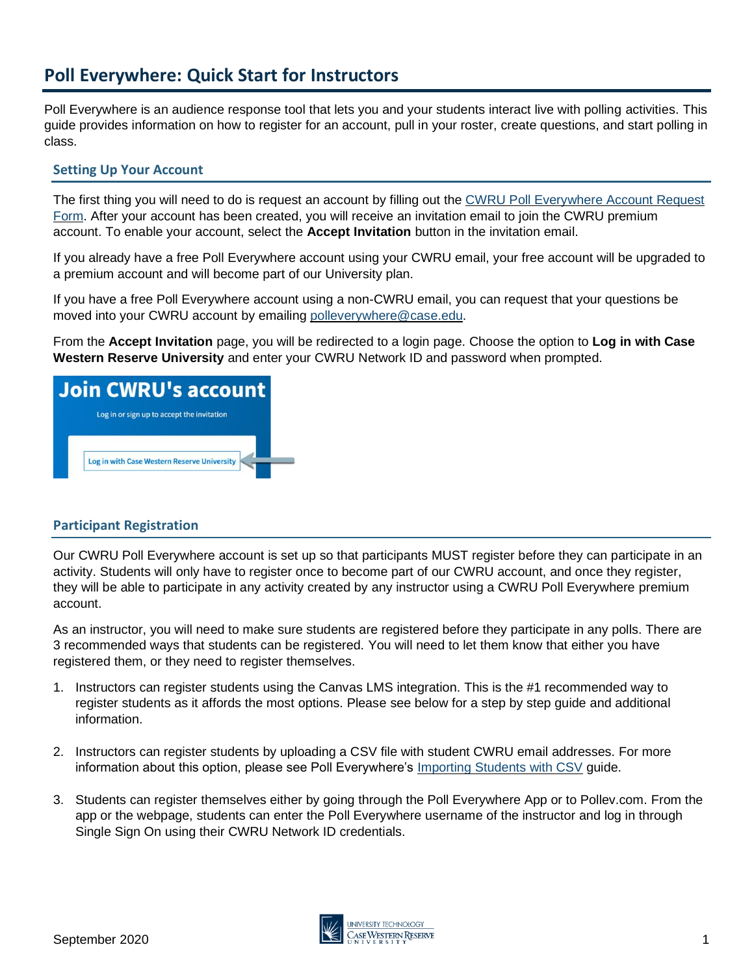# **Poll Everywhere: Quick Start for Instructors**

Poll Everywhere is an audience response tool that lets you and your students interact live with polling activities. This guide provides information on how to register for an account, pull in your roster, create questions, and start polling in class.

### **Setting Up Your Account**

The first thing you will need to do is request an account by filling out the CWRU Poll Everywhere Account Request [Form.](https://forms.gle/cmeCbDQm47ZzmpYi7) After your account has been created, you will receive an invitation email to join the CWRU premium account. To enable your account, select the **Accept Invitation** button in the invitation email.

If you already have a free Poll Everywhere account using your CWRU email, your free account will be upgraded to a premium account and will become part of our University plan.

If you have a free Poll Everywhere account using a non-CWRU email, you can request that your questions be moved into your CWRU account by emailing [polleverywhere@case.edu.](mailto:polleverywhere@case.edu)

From the **Accept Invitation** page, you will be redirected to a login page. Choose the option to **Log in with Case Western Reserve University** and enter your CWRU Network ID and password when prompted.



# **Participant Registration**

Our CWRU Poll Everywhere account is set up so that participants MUST register before they can participate in an activity. Students will only have to register once to become part of our CWRU account, and once they register, they will be able to participate in any activity created by any instructor using a CWRU Poll Everywhere premium account.

As an instructor, you will need to make sure students are registered before they participate in any polls. There are 3 recommended ways that students can be registered. You will need to let them know that either you have registered them, or they need to register themselves.

- 1. Instructors can register students using the Canvas LMS integration. This is the #1 recommended way to register students as it affords the most options. Please see below for a step by step guide and additional information.
- 2. Instructors can register students by uploading a CSV file with student CWRU email addresses. For more information about this option, please see Poll Everywhere's [Importing Students with CSV](https://www.polleverywhere.com/support/articles/audience-registration/import-students-csv) guide.
- 3. Students can register themselves either by going through the Poll Everywhere App or to Pollev.com. From the app or the webpage, students can enter the Poll Everywhere username of the instructor and log in through Single Sign On using their CWRU Network ID credentials.

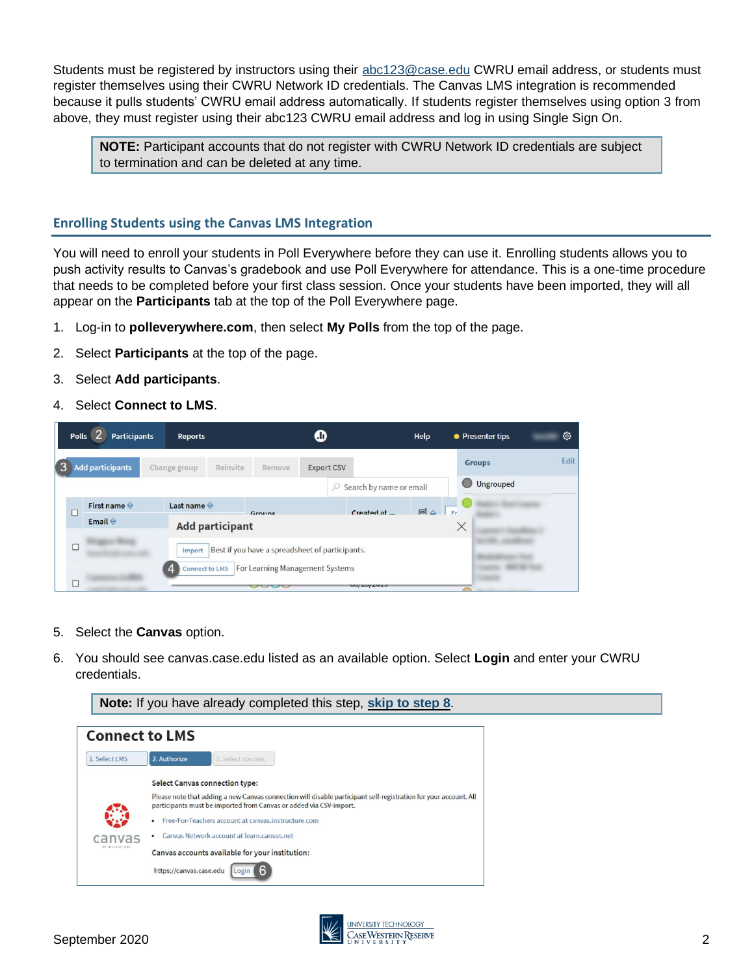Students must be registered by instructors using their abc123@case.edu CWRU email address, or students must register themselves using their CWRU Network ID credentials. The Canvas LMS integration is recommended because it pulls students' CWRU email address automatically. If students register themselves using option 3 from above, they must register using their abc123 CWRU email address and log in using Single Sign On.

**NOTE:** Participant accounts that do not register with CWRU Network ID credentials are subject to termination and can be deleted at any time.

## **Enrolling Students using the Canvas LMS Integration**

You will need to enroll your students in Poll Everywhere before they can use it. Enrolling students allows you to push activity results to Canvas's gradebook and use Poll Everywhere for attendance. This is a one-time procedure that needs to be completed before your first class session. Once your students have been imported, they will all appear on the **Participants** tab at the top of the Poll Everywhere page.

- 1. Log-in to **polleverywhere.com**, then select **My Polls** from the top of the page.
- 2. Select **Participants** at the top of the page.
- 3. Select **Add participants**.
- 4. Select **Connect to LMS**.



- 5. Select the **Canvas** option.
- 6. You should see canvas.case.edu listed as an available option. Select **Login** and enter your CWRU credentials.

**Note:** If you have already completed this step, **[skip to step 8](#page-2-0)**.

| <b>Connect to LMS</b> |                                                                                                                                                                                        |  |  |  |  |  |
|-----------------------|----------------------------------------------------------------------------------------------------------------------------------------------------------------------------------------|--|--|--|--|--|
| 1. Select LMS         | 2. Authorize<br>3. Select courses                                                                                                                                                      |  |  |  |  |  |
|                       | <b>Select Canvas connection type:</b>                                                                                                                                                  |  |  |  |  |  |
|                       | Please note that adding a new Canvas connection will disable participant self-registration for your account. All<br>participants must be imported from Canvas or added via CSV-import. |  |  |  |  |  |
|                       | Free-For-Teachers account at canvas.instructure.com<br>٠                                                                                                                               |  |  |  |  |  |
| vas                   | Canvas Network account at learn.canvas.net                                                                                                                                             |  |  |  |  |  |
| BY INSTRUCTURE        | Canvas accounts available for your institution:                                                                                                                                        |  |  |  |  |  |
|                       | 6<br>https://canvas.case.edu<br>Login                                                                                                                                                  |  |  |  |  |  |

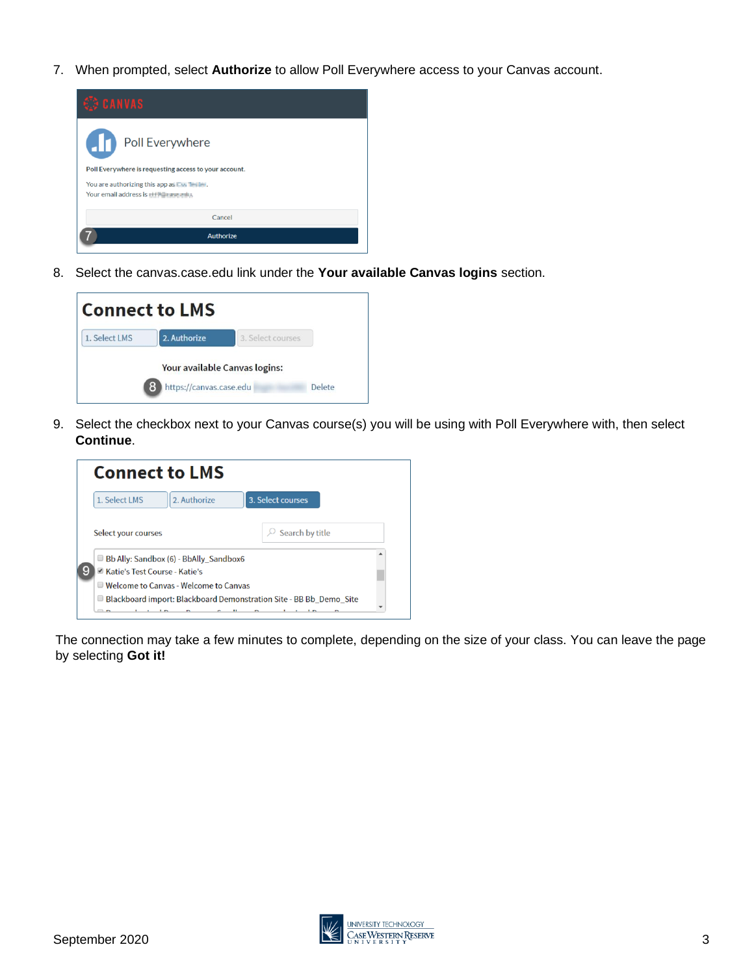7. When prompted, select **Authorize** to allow Poll Everywhere access to your Canvas account.



<span id="page-2-0"></span>8. Select the canvas.case.edu link under the **Your available Canvas logins** section.



9. Select the checkbox next to your Canvas course(s) you will be using with Poll Everywhere with, then select **Continue**.



The connection may take a few minutes to complete, depending on the size of your class. You can leave the page by selecting **Got it!**

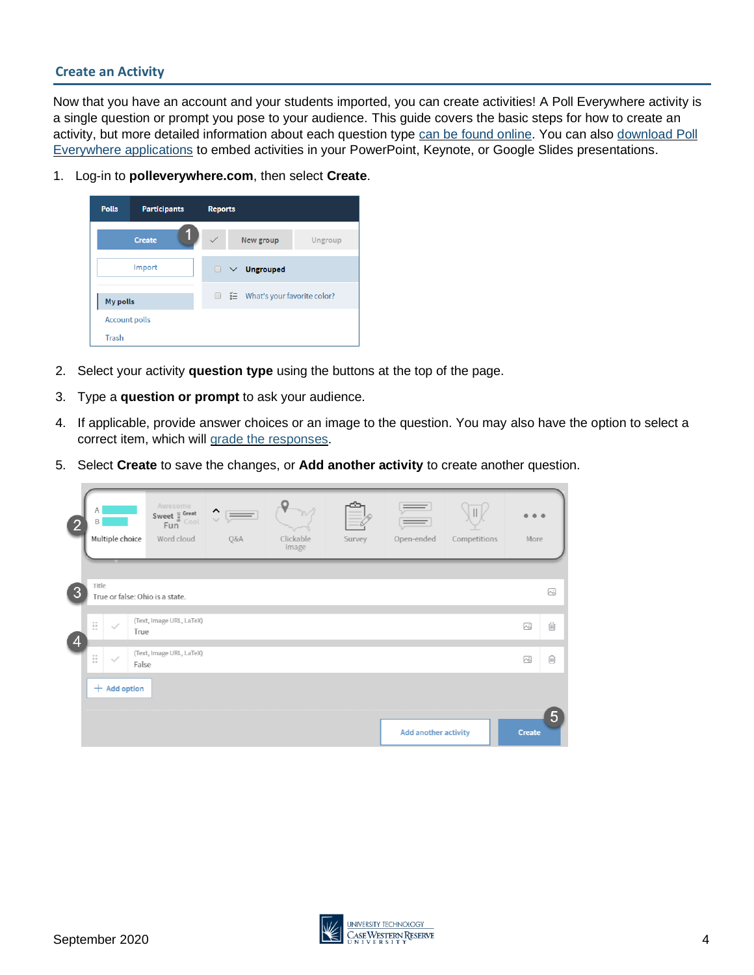### **Create an Activity**

Now that you have an account and your students imported, you can create activities! A Poll Everywhere activity is a single question or prompt you pose to your audience. This guide covers the basic steps for how to create an activity, but more detailed information about each question type [can be found online.](https://www.polleverywhere.com/support/articles/create-activities/creating-an-activity) You can also download Poll [Everywhere applications](https://www.polleverywhere.com/app/) to embed activities in your PowerPoint, Keynote, or Google Slides presentations.

1. Log-in to **polleverywhere.com**, then select **Create**.



- 2. Select your activity **question type** using the buttons at the top of the page.
- 3. Type a **question or prompt** to ask your audience.
- 4. If applicable, provide answer choices or an image to the question. You may also have the option to select a correct item, which will [grade the responses.](https://www.polleverywhere.com/support/articles/reporting/score-responses)
- 5. Select **Create** to save the changes, or **Add another activity** to create another question.

| $\overline{2}$ | Α<br>B<br>Multiple choice                | Awesome<br>Sweet $\frac{w}{a}$ Great<br>Eun<br>Fun<br>Word cloud | $\hat{\mathbf{C}}$<br>Q&A | Clickable<br>image | Survey | Open-ended                  | Competitions | More   |        |
|----------------|------------------------------------------|------------------------------------------------------------------|---------------------------|--------------------|--------|-----------------------------|--------------|--------|--------|
| 3              | Title<br>True or false: Ohio is a state. |                                                                  |                           |                    |        |                             |              |        | $\sim$ |
|                | E<br>$\checkmark$<br>True                | (Text, Image URL, LaTeX)                                         |                           |                    |        |                             |              | W      | 俞      |
| $\overline{4}$ | B<br>$\overline{\phantom{a}}$<br>False   | (Text, Image URL, LaTeX)                                         |                           |                    |        |                             |              | ∞      | 圎      |
|                | $+$ Add option                           |                                                                  |                           |                    |        |                             |              |        |        |
|                |                                          |                                                                  |                           |                    |        | <b>Add another activity</b> |              | Create | 5      |

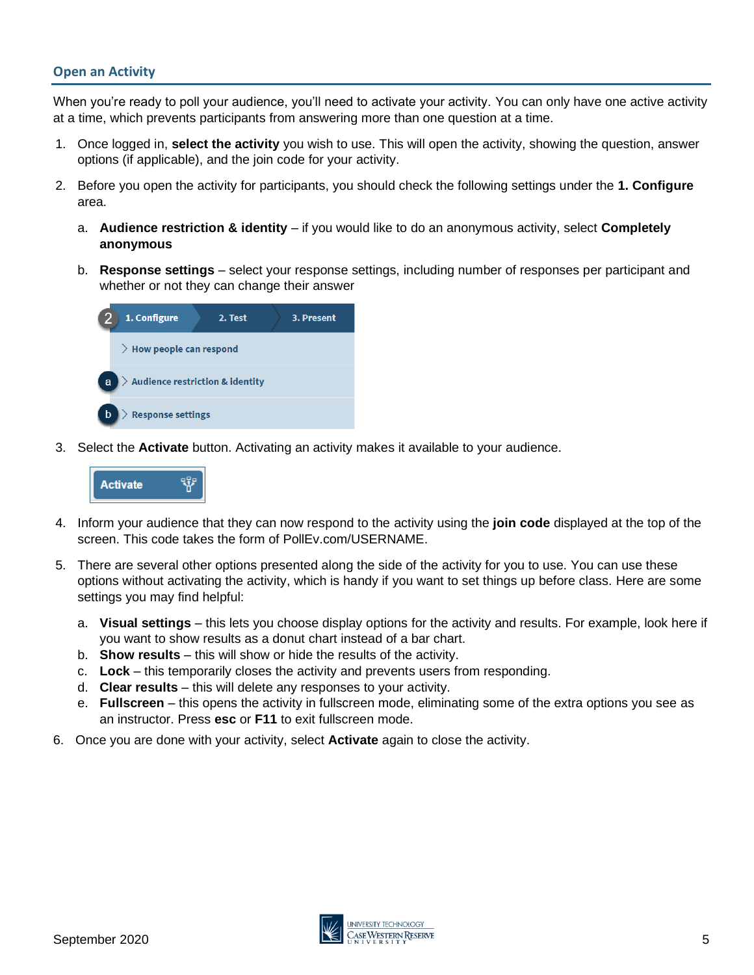## **Open an Activity**

When you're ready to poll your audience, you'll need to activate your activity. You can only have one active activity at a time, which prevents participants from answering more than one question at a time.

- 1. Once logged in, **select the activity** you wish to use. This will open the activity, showing the question, answer options (if applicable), and the join code for your activity.
- 2. Before you open the activity for participants, you should check the following settings under the **1. Configure** area.
	- a. **Audience restriction & identity** if you would like to do an anonymous activity, select **Completely anonymous**
	- b. **Response settings**  select your response settings, including number of responses per participant and whether or not they can change their answer



3. Select the **Activate** button. Activating an activity makes it available to your audience.



- 4. Inform your audience that they can now respond to the activity using the **join code** displayed at the top of the screen. This code takes the form of PollEv.com/USERNAME.
- 5. There are several other options presented along the side of the activity for you to use. You can use these options without activating the activity, which is handy if you want to set things up before class. Here are some settings you may find helpful:
	- a. **Visual settings** this lets you choose display options for the activity and results. For example, look here if you want to show results as a donut chart instead of a bar chart.
	- b. **Show results** this will show or hide the results of the activity.
	- c. **Lock** this temporarily closes the activity and prevents users from responding.
	- d. **Clear results**  this will delete any responses to your activity.
	- e. **Fullscreen** this opens the activity in fullscreen mode, eliminating some of the extra options you see as an instructor. Press **esc** or **F11** to exit fullscreen mode.
- 6. Once you are done with your activity, select **Activate** again to close the activity.